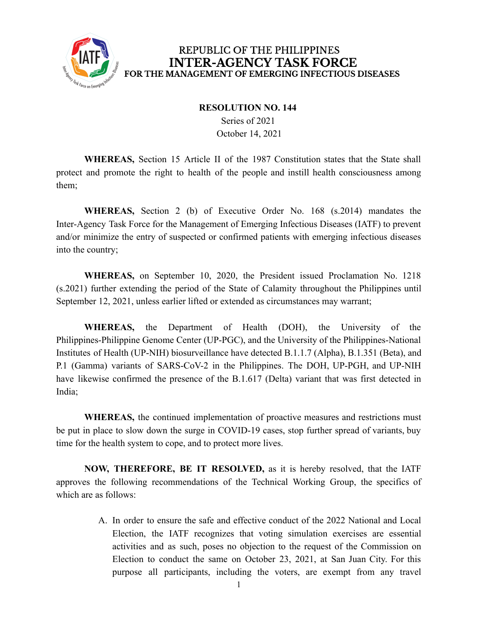

## REPUBLIC OF THE PHILIPPINES **INTER-AGENCY TASK FORCE** FOR THE MANAGEMENT OF EMERGING INFECTIOUS DISEASES

## **RESOLUTION NO. 144**

Series of 2021 October 14, 2021

**WHEREAS,** Section 15 Article II of the 1987 Constitution states that the State shall protect and promote the right to health of the people and instill health consciousness among them;

**WHEREAS,** Section 2 (b) of Executive Order No. 168 (s.2014) mandates the Inter-Agency Task Force for the Management of Emerging Infectious Diseases (IATF) to prevent and/or minimize the entry of suspected or confirmed patients with emerging infectious diseases into the country;

**WHEREAS,** on September 10, 2020, the President issued Proclamation No. 1218 (s.2021) further extending the period of the State of Calamity throughout the Philippines until September 12, 2021, unless earlier lifted or extended as circumstances may warrant;

**WHEREAS,** the Department of Health (DOH), the University of the Philippines-Philippine Genome Center (UP-PGC), and the University of the Philippines-National Institutes of Health (UP-NIH) biosurveillance have detected B.1.1.7 (Alpha), B.1.351 (Beta), and P.1 (Gamma) variants of SARS-CoV-2 in the Philippines. The DOH, UP-PGH, and UP-NIH have likewise confirmed the presence of the B.1.617 (Delta) variant that was first detected in India;

**WHEREAS,** the continued implementation of proactive measures and restrictions must be put in place to slow down the surge in COVID-19 cases, stop further spread of variants, buy time for the health system to cope, and to protect more lives.

**NOW, THEREFORE, BE IT RESOLVED,** as it is hereby resolved, that the IATF approves the following recommendations of the Technical Working Group, the specifics of which are as follows:

> A. In order to ensure the safe and effective conduct of the 2022 National and Local Election, the IATF recognizes that voting simulation exercises are essential activities and as such, poses no objection to the request of the Commission on Election to conduct the same on October 23, 2021, at San Juan City. For this purpose all participants, including the voters, are exempt from any travel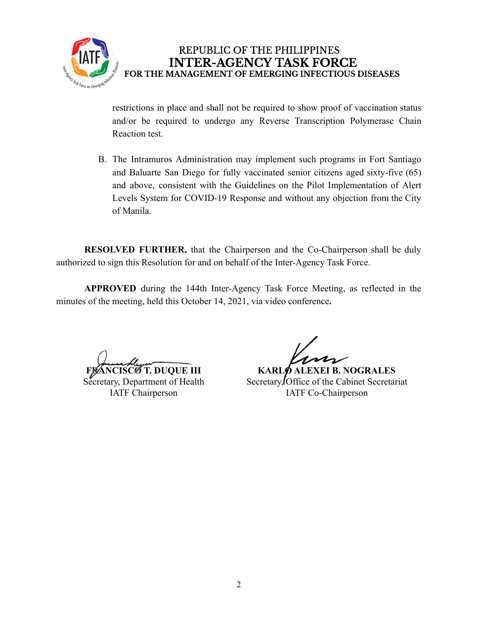

REPUBLIC OF THE PHILIPPINES **INTER-AGENCY TASK FORCE** FOR THE MANAGEMENT OF EMERGING INFECTIOUS DISEASES

restrictions in place and shall not be required to show proof of vaccination status and/or be required to undergo any Reverse Transcription Polymerase Chain Reaction test.

B. The Intramuros Administration may implement such programs in Fort Santiago and Baluarte San Diego for fully vaccinated senior citizens aged sixty-five (65) and above, consistent with the Guidelines on the Pilot Implementation of Alert Levels System for COVID-19 Response and without any objection from the City of Manila.

**RESOLVED FURTHER,** that the Chairperson and the Co-Chairperson shall be duly authorized to sign this Resolution for and on behalf of the Inter-Agency Task Force.

**APPROVED** during the 144th Inter-Agency Task Force Meeting, as reflected in the minutes of the meeting, held this October 14, 2021, via video conference**.**

**F. DUQUE III** 

Secretary, Department of Health IATF Chairperson

**KARLO ALEXEI B. NOGRALES** Secretary, Office of the Cabinet Secretariat IATF Co-Chairperson